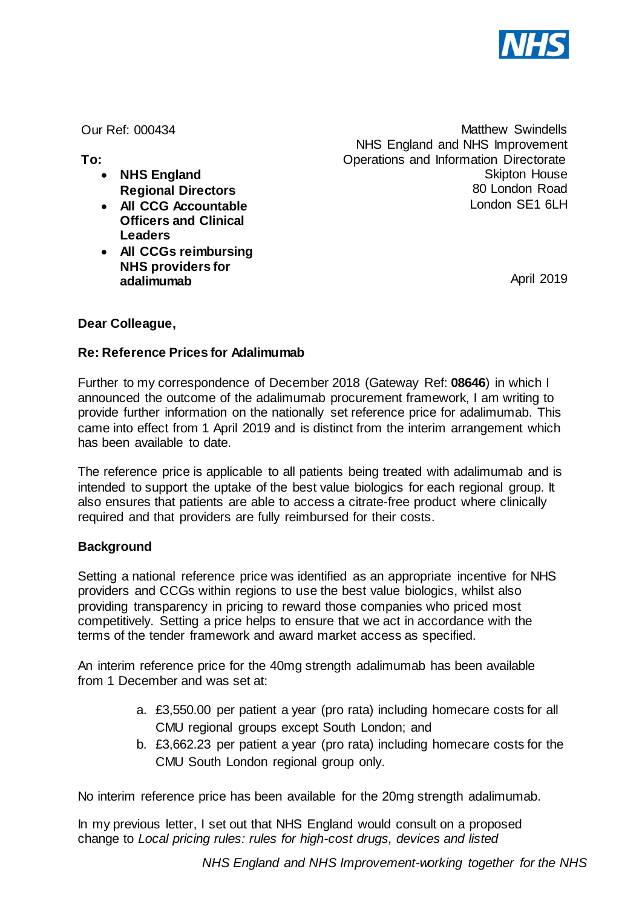

Our Ref: 000434

**To:** 

- **NHS England Regional Directors**
- **All CCG Accountable Officers and Clinical Leaders**
- **All CCGs reimbursing NHS providers for adalimumab**

Matthew Swindells NHS England and NHS Improvement Operations and Information Directorate Skipton House 80 London Road London SE1 6LH

April 2019

# **Dear Colleague,**

## **Re: Reference Prices for Adalimumab**

Further to my correspondence of December 2018 (Gateway Ref: **08646**) in which I announced the outcome of the adalimumab procurement framework, I am writing to provide further information on the nationally set reference price for adalimumab. This came into effect from 1 April 2019 and is distinct from the interim arrangement which has been available to date.

The reference price is applicable to all patients being treated with adalimumab and is intended to support the uptake of the best value biologics for each regional group. It also ensures that patients are able to access a citrate-free product where clinically required and that providers are fully reimbursed for their costs.

### **Background**

Setting a national reference price was identified as an appropriate incentive for NHS providers and CCGs within regions to use the best value biologics, whilst also providing transparency in pricing to reward those companies who priced most competitively. Setting a price helps to ensure that we act in accordance with the terms of the tender framework and award market access as specified.

An interim reference price for the 40mg strength adalimumab has been available from 1 December and was set at:

- a. £3,550.00 per patient a year (pro rata) including homecare costs for all CMU regional groups except South London; and
- b. £3,662.23 per patient a year (pro rata) including homecare costs for the CMU South London regional group only.

No interim reference price has been available for the 20mg strength adalimumab.

In my previous letter, I set out that NHS England would consult on a proposed change to *Local pricing rules: rules for high-cost drugs, devices and listed*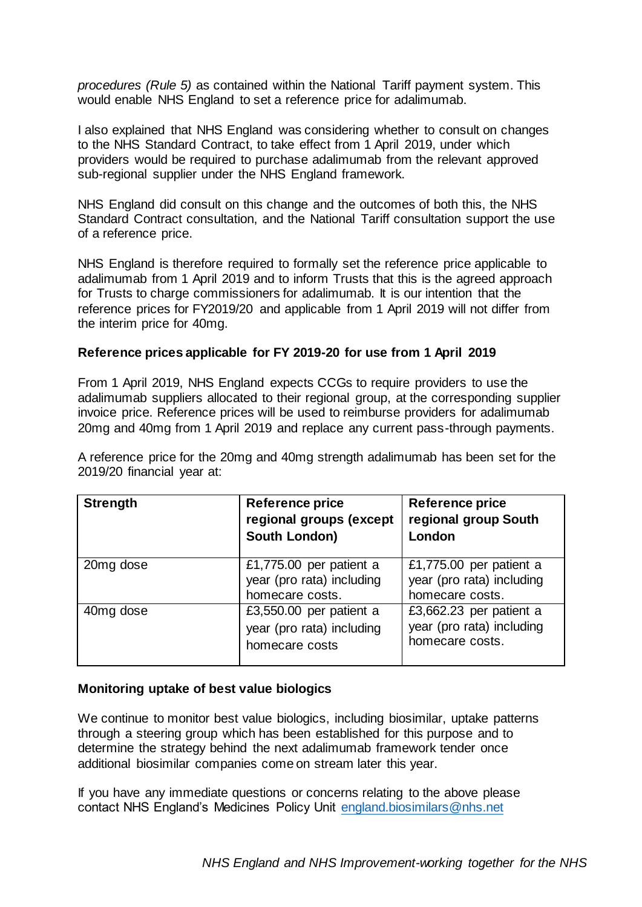*procedures (Rule 5)* as contained within the National Tariff payment system. This would enable NHS England to set a reference price for adalimumab.

I also explained that NHS England was considering whether to consult on changes to the NHS Standard Contract, to take effect from 1 April 2019, under which providers would be required to purchase adalimumab from the relevant approved sub-regional supplier under the NHS England framework.

NHS England did consult on this change and the outcomes of both this, the NHS Standard Contract consultation, and the National Tariff consultation support the use of a reference price.

NHS England is therefore required to formally set the reference price applicable to adalimumab from 1 April 2019 and to inform Trusts that this is the agreed approach for Trusts to charge commissioners for adalimumab. It is our intention that the reference prices for FY2019/20 and applicable from 1 April 2019 will not differ from the interim price for 40mg.

### **Reference prices applicable for FY 2019-20 for use from 1 April 2019**

From 1 April 2019, NHS England expects CCGs to require providers to use the adalimumab suppliers allocated to their regional group, at the corresponding supplier invoice price. Reference prices will be used to reimburse providers for adalimumab 20mg and 40mg from 1 April 2019 and replace any current pass-through payments.

A reference price for the 20mg and 40mg strength adalimumab has been set for the 2019/20 financial year at:

| <b>Strength</b> | Reference price<br>regional groups (except<br>South London)             | <b>Reference price</b><br>regional group South<br>London                |
|-----------------|-------------------------------------------------------------------------|-------------------------------------------------------------------------|
| 20mg dose       | £1,775.00 per patient a<br>year (pro rata) including<br>homecare costs. | £1,775.00 per patient a<br>year (pro rata) including<br>homecare costs. |
| 40mg dose       | £3,550.00 per patient a<br>year (pro rata) including<br>homecare costs  | £3,662.23 per patient a<br>year (pro rata) including<br>homecare costs. |

#### **Monitoring uptake of best value biologics**

We continue to monitor best value biologics, including biosimilar, uptake patterns through a steering group which has been established for this purpose and to determine the strategy behind the next adalimumab framework tender once additional biosimilar companies come on stream later this year.

If you have any immediate questions or concerns relating to the above please contact NHS England's Medicines Policy Unit [england.biosimilars@nhs.net](mailto:england.biosimilars@nhs.net)